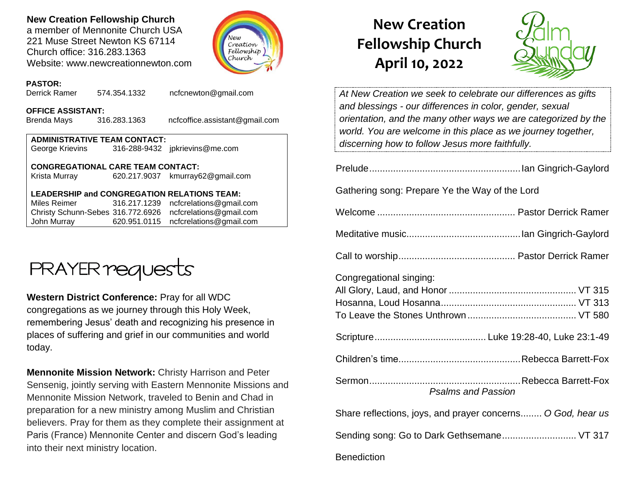### **New Creation Fellowship Church**

a member of Mennonite Church USA 221 Muse Street Newton KS 67114 Church office: 316.283.1363 Website: www.newcreationnewton.com



#### **PASTOR:**

Derrick Ramer 574.354.1332 [ncfcnewton@gmail.com](mailto:ncfcnewton@gmail.com)

#### **OFFICE ASSISTANT:**

Brenda Mays 316.283.1363 ncfcoffice.assistant@gmail.com

| <b>ADMINISTRATIVE TEAM CONTACT:</b> |  |                                |  |  |  |
|-------------------------------------|--|--------------------------------|--|--|--|
| George Krievins                     |  | 316-288-9432 jpkrievins@me.com |  |  |  |

#### **CONGREGATIONAL CARE TEAM CONTACT:**

Krista Murray 620.217.9037 [kmurray62@gmail.com](mailto:kmurray62@gmail.com)

#### **LEADERSHIP and CONGREGATION RELATIONS TEAM:**

Miles Reimer [316.217.1239](mailto:316.217.1239) [ncfcrelations@gmail.com](mailto:ncfcrelations@gmail.com) Christy Schunn-Sebes 316.772.6926 [ncfcrelations@gmail.com](mailto:ncfcrelations@gmail.com) John Murray 620.951.0115 [ncfcrelations@gmail.com](mailto:ncfcrelations@gmail.com)



**Western District Conference:** Pray for all WDC congregations as we journey through this Holy Week, remembering Jesus' death and recognizing his presence in places of suffering and grief in our communities and world today.

**Mennonite Mission Network:** Christy Harrison and Peter Sensenig, jointly serving with Eastern Mennonite Missions and Mennonite Mission Network, traveled to Benin and Chad in preparation for a new ministry among Muslim and Christian believers. Pray for them as they complete their assignment at Paris (France) Mennonite Center and discern God's leading into their next ministry location.

# **New Creation Fellowship Church April 10, 2022**



*At New Creation we seek to celebrate our differences as gifts and blessings - our differences in color, gender, sexual orientation, and the many other ways we are categorized by the world. You are welcome in this place as we journey together, discerning how to follow Jesus more faithfully.*

Prelude.........................................................Ian Gingrich-Gaylord

Gathering song: Prepare Ye the Way of the Lord

|--|--|--|--|

| Congregational singing:                                     |
|-------------------------------------------------------------|
|                                                             |
|                                                             |
|                                                             |
|                                                             |
|                                                             |
| <b>Psalms and Passion</b>                                   |
| Share reflections, joys, and prayer concerns O God, hear us |
| Sending song: Go to Dark Gethsemane VT 317                  |
| <b>Benediction</b>                                          |